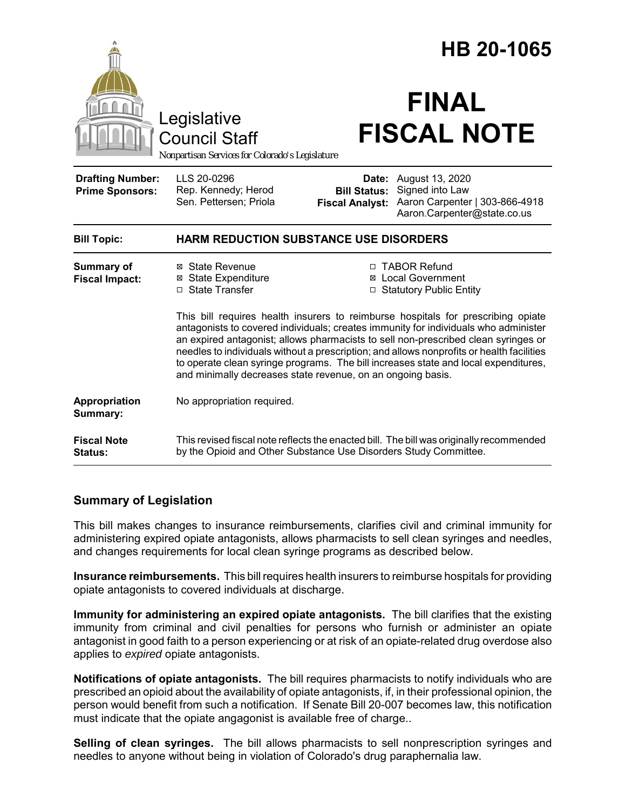|                                                   |                                                                                                                                                                                                                                                                                                                                                                                                                                                                                                                  | HB 20-1065                                    |                                                                                                                  |
|---------------------------------------------------|------------------------------------------------------------------------------------------------------------------------------------------------------------------------------------------------------------------------------------------------------------------------------------------------------------------------------------------------------------------------------------------------------------------------------------------------------------------------------------------------------------------|-----------------------------------------------|------------------------------------------------------------------------------------------------------------------|
|                                                   | Legislative<br><b>Council Staff</b><br>Nonpartisan Services for Colorado's Legislature                                                                                                                                                                                                                                                                                                                                                                                                                           |                                               | <b>FINAL</b><br><b>FISCAL NOTE</b>                                                                               |
| <b>Drafting Number:</b><br><b>Prime Sponsors:</b> | LLS 20-0296<br>Rep. Kennedy; Herod<br>Sen. Pettersen; Priola                                                                                                                                                                                                                                                                                                                                                                                                                                                     | <b>Bill Status:</b><br><b>Fiscal Analyst:</b> | <b>Date:</b> August 13, 2020<br>Signed into Law<br>Aaron Carpenter   303-866-4918<br>Aaron.Carpenter@state.co.us |
| <b>Bill Topic:</b>                                | <b>HARM REDUCTION SUBSTANCE USE DISORDERS</b>                                                                                                                                                                                                                                                                                                                                                                                                                                                                    |                                               |                                                                                                                  |
| <b>Summary of</b><br><b>Fiscal Impact:</b>        | ⊠ State Revenue<br><b>⊠</b> State Expenditure<br>□ State Transfer                                                                                                                                                                                                                                                                                                                                                                                                                                                |                                               | □ TABOR Refund<br><b>⊠</b> Local Government<br>□ Statutory Public Entity                                         |
|                                                   | This bill requires health insurers to reimburse hospitals for prescribing opiate<br>antagonists to covered individuals; creates immunity for individuals who administer<br>an expired antagonist; allows pharmacists to sell non-prescribed clean syringes or<br>needles to individuals without a prescription; and allows nonprofits or health facilities<br>to operate clean syringe programs. The bill increases state and local expenditures,<br>and minimally decreases state revenue, on an ongoing basis. |                                               |                                                                                                                  |
| Appropriation<br>Summary:                         | No appropriation required.                                                                                                                                                                                                                                                                                                                                                                                                                                                                                       |                                               |                                                                                                                  |
| <b>Fiscal Note</b><br>Status:                     | This revised fiscal note reflects the enacted bill. The bill was originally recommended<br>by the Opioid and Other Substance Use Disorders Study Committee.                                                                                                                                                                                                                                                                                                                                                      |                                               |                                                                                                                  |

## **Summary of Legislation**

This bill makes changes to insurance reimbursements, clarifies civil and criminal immunity for administering expired opiate antagonists, allows pharmacists to sell clean syringes and needles, and changes requirements for local clean syringe programs as described below.

**Insurance reimbursements.** This bill requires health insurers to reimburse hospitals for providing opiate antagonists to covered individuals at discharge.

**Immunity for administering an expired opiate antagonists.** The bill clarifies that the existing immunity from criminal and civil penalties for persons who furnish or administer an opiate antagonist in good faith to a person experiencing or at risk of an opiate-related drug overdose also applies to *expired* opiate antagonists.

**Notifications of opiate antagonists.** The bill requires pharmacists to notify individuals who are prescribed an opioid about the availability of opiate antagonists, if, in their professional opinion, the person would benefit from such a notification. If Senate Bill 20-007 becomes law, this notification must indicate that the opiate angagonist is available free of charge..

**Selling of clean syringes.** The bill allows pharmacists to sell nonprescription syringes and needles to anyone without being in violation of Colorado's drug paraphernalia law.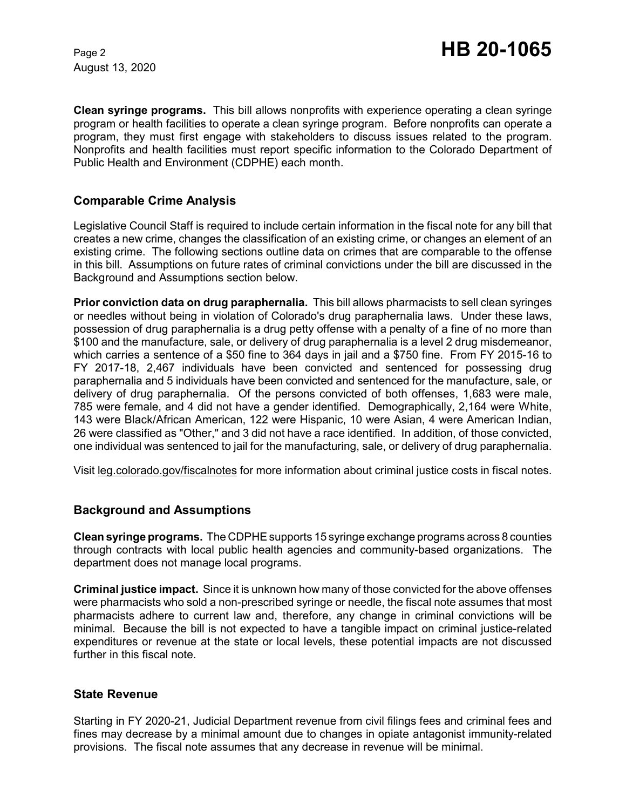August 13, 2020

**Clean syringe programs.** This bill allows nonprofits with experience operating a clean syringe program or health facilities to operate a clean syringe program. Before nonprofits can operate a program, they must first engage with stakeholders to discuss issues related to the program. Nonprofits and health facilities must report specific information to the Colorado Department of Public Health and Environment (CDPHE) each month.

# **Comparable Crime Analysis**

Legislative Council Staff is required to include certain information in the fiscal note for any bill that creates a new crime, changes the classification of an existing crime, or changes an element of an existing crime. The following sections outline data on crimes that are comparable to the offense in this bill. Assumptions on future rates of criminal convictions under the bill are discussed in the Background and Assumptions section below.

**Prior conviction data on drug paraphernalia.** This bill allows pharmacists to sell clean syringes or needles without being in violation of Colorado's drug paraphernalia laws. Under these laws, possession of drug paraphernalia is a drug petty offense with a penalty of a fine of no more than \$100 and the manufacture, sale, or delivery of drug paraphernalia is a level 2 drug misdemeanor, which carries a sentence of a \$50 fine to 364 days in jail and a \$750 fine. From FY 2015-16 to FY 2017-18, 2,467 individuals have been convicted and sentenced for possessing drug paraphernalia and 5 individuals have been convicted and sentenced for the manufacture, sale, or delivery of drug paraphernalia. Of the persons convicted of both offenses, 1,683 were male, 785 were female, and 4 did not have a gender identified. Demographically, 2,164 were White, 143 were Black/African American, 122 were Hispanic, 10 were Asian, 4 were American Indian, 26 were classified as "Other," and 3 did not have a race identified. In addition, of those convicted, one individual was sentenced to jail for the manufacturing, sale, or delivery of drug paraphernalia.

Visit leg.colorado.gov/fiscalnotes for more information about criminal justice costs in fiscal notes.

### **Background and Assumptions**

**Clean syringe programs.** The CDPHEsupports 15 syringe exchange programs across 8 counties through contracts with local public health agencies and community-based organizations. The department does not manage local programs.

**Criminal justice impact.** Since it is unknown how many of those convicted for the above offenses were pharmacists who sold a non-prescribed syringe or needle, the fiscal note assumes that most pharmacists adhere to current law and, therefore, any change in criminal convictions will be minimal. Because the bill is not expected to have a tangible impact on criminal justice-related expenditures or revenue at the state or local levels, these potential impacts are not discussed further in this fiscal note.

### **State Revenue**

Starting in FY 2020-21, Judicial Department revenue from civil filings fees and criminal fees and fines may decrease by a minimal amount due to changes in opiate antagonist immunity-related provisions. The fiscal note assumes that any decrease in revenue will be minimal.